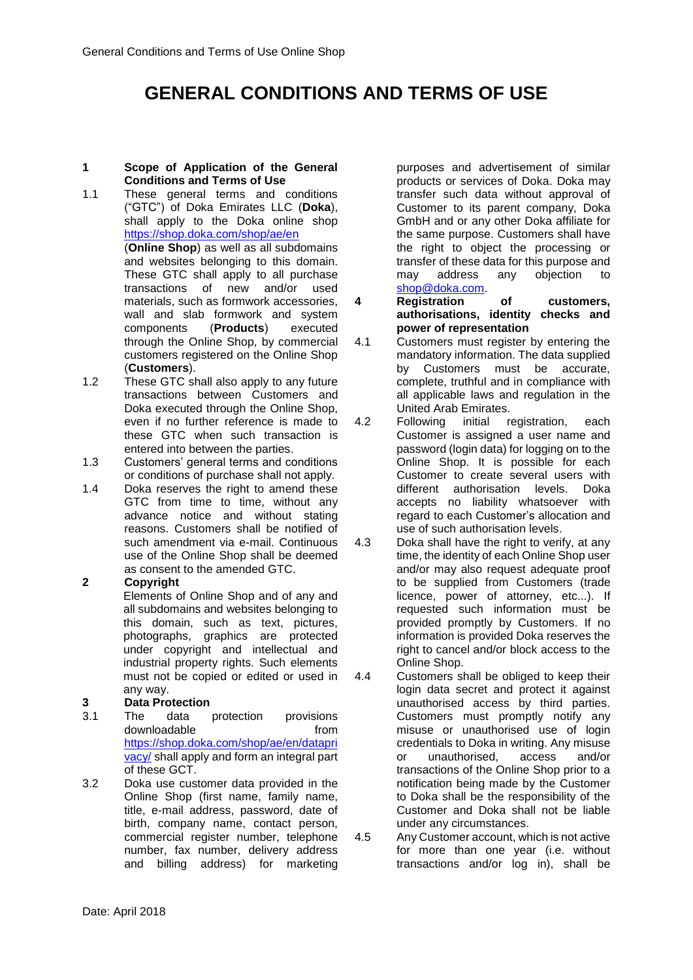# **GENERAL CONDITIONS AND TERMS OF USE**

#### **1 Scope of Application of the General Conditions and Terms of Use**

- 1.1 These general terms and conditions ("GTC") of Doka Emirates LLC (**Doka**), shall apply to the Doka online shop <https://shop.doka.com/>shop/ae/en (**Online Shop**) as well as all subdomains and websites belonging to this domain. These GTC shall apply to all purchase transactions of new and/or used materials, such as formwork accessories, wall and slab formwork and system components (**Products**) executed through the Online Shop, by commercial customers registered on the Online Shop (**Customers**).
- 1.2 These GTC shall also apply to any future transactions between Customers and Doka executed through the Online Shop, even if no further reference is made to these GTC when such transaction is entered into between the parties.
- 1.3 Customers' general terms and conditions or conditions of purchase shall not apply.
- 1.4 Doka reserves the right to amend these GTC from time to time, without any advance notice and without stating reasons. Customers shall be notified of such amendment via e-mail. Continuous use of the Online Shop shall be deemed as consent to the amended GTC.

# **2 Copyright**

Elements of Online Shop and of any and all subdomains and websites belonging to this domain, such as text, pictures, photographs, graphics are protected under copyright and intellectual and industrial property rights. Such elements must not be copied or edited or used in any way.

# **3 Data Protection**

- 3.1 The data protection provisions downloadable from [https://shop.doka.com/shop/ae/en/datapri](https://shop.doka.com/shop/ae/en/dataprivacy/) [vacy/](https://shop.doka.com/shop/ae/en/dataprivacy/) shall apply and form an integral part of these GCT.
- 3.2 Doka use customer data provided in the Online Shop (first name, family name, title, e-mail address, password, date of birth, company name, contact person, commercial register number, telephone number, fax number, delivery address and billing address) for marketing

purposes and advertisement of similar products or services of Doka. Doka may transfer such data without approval of Customer to its parent company, Doka GmbH and or any other Doka affiliate for the same purpose. Customers shall have the right to object the processing or transfer of these data for this purpose and may address any objection to [shop@doka.com.](mailto:shop@doka.com)

**4 Registration of customers, authorisations, identity checks and power of representation**

- 4.1 Customers must register by entering the mandatory information. The data supplied by Customers must be accurate, complete, truthful and in compliance with all applicable laws and regulation in the United Arab Emirates.
- 4.2 Following initial registration, each Customer is assigned a user name and password (login data) for logging on to the Online Shop. It is possible for each Customer to create several users with different authorisation levels. Doka accepts no liability whatsoever with regard to each Customer's allocation and use of such authorisation levels.
- 4.3 Doka shall have the right to verify, at any time, the identity of each Online Shop user and/or may also request adequate proof to be supplied from Customers (trade licence, power of attorney, etc...). If requested such information must be provided promptly by Customers. If no information is provided Doka reserves the right to cancel and/or block access to the Online Shop.
- 4.4 Customers shall be obliged to keep their login data secret and protect it against unauthorised access by third parties. Customers must promptly notify any misuse or unauthorised use of login credentials to Doka in writing. Any misuse or unauthorised, access and/or transactions of the Online Shop prior to a notification being made by the Customer to Doka shall be the responsibility of the Customer and Doka shall not be liable under any circumstances.

4.5 Any Customer account, which is not active for more than one year (i.e. without transactions and/or log in), shall be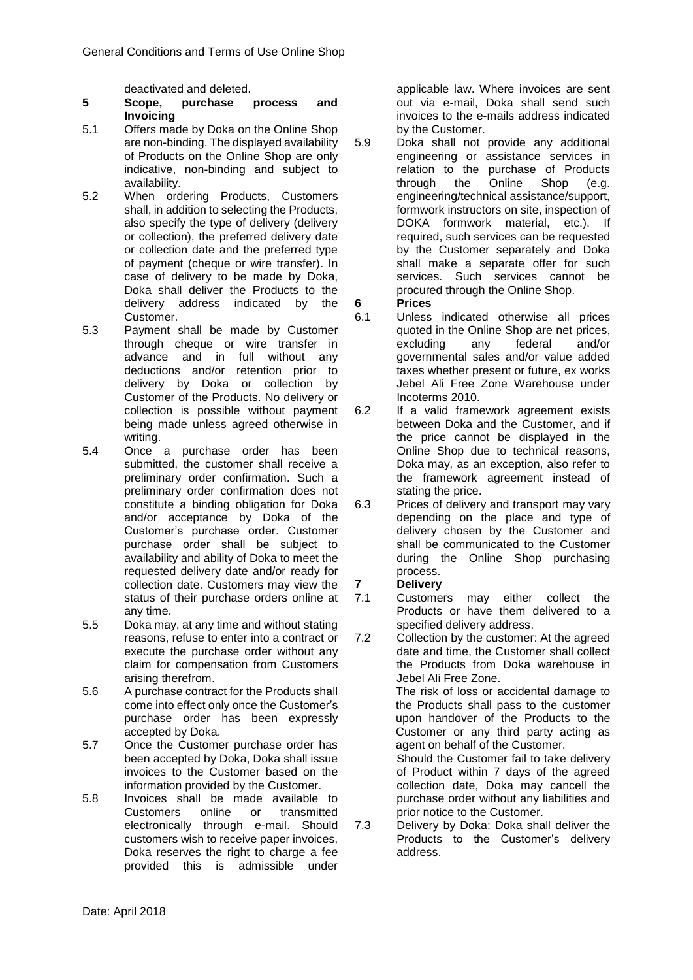deactivated and deleted.

#### **5 Scope, purchase process and Invoicing**

- 5.1 Offers made by Doka on the Online Shop are non-binding. The displayed availability of Products on the Online Shop are only indicative, non-binding and subject to availability.
- 5.2 When ordering Products, Customers shall, in addition to selecting the Products, also specify the type of delivery (delivery or collection), the preferred delivery date or collection date and the preferred type of payment (cheque or wire transfer). In case of delivery to be made by Doka, Doka shall deliver the Products to the delivery address indicated by the Customer.
- 5.3 Payment shall be made by Customer through cheque or wire transfer in advance and in full without any deductions and/or retention prior to delivery by Doka or collection by Customer of the Products. No delivery or collection is possible without payment being made unless agreed otherwise in writing.
- 5.4 Once a purchase order has been submitted, the customer shall receive a preliminary order confirmation. Such a preliminary order confirmation does not constitute a binding obligation for Doka and/or acceptance by Doka of the Customer's purchase order. Customer purchase order shall be subject to availability and ability of Doka to meet the requested delivery date and/or ready for collection date. Customers may view the status of their purchase orders online at any time.
- 5.5 Doka may, at any time and without stating reasons, refuse to enter into a contract or execute the purchase order without any claim for compensation from Customers arising therefrom.
- 5.6 A purchase contract for the Products shall come into effect only once the Customer's purchase order has been expressly accepted by Doka.
- 5.7 Once the Customer purchase order has been accepted by Doka, Doka shall issue invoices to the Customer based on the information provided by the Customer.
- 5.8 Invoices shall be made available to Customers online or transmitted electronically through e-mail. Should customers wish to receive paper invoices, Doka reserves the right to charge a fee provided this is admissible under

applicable law. Where invoices are sent out via e-mail, Doka shall send such invoices to the e-mails address indicated by the Customer.

- 5.9 Doka shall not provide any additional engineering or assistance services in relation to the purchase of Products through the Online Shop (e.g. engineering/technical assistance/support, formwork instructors on site, inspection of DOKA formwork material, etc.). If required, such services can be requested by the Customer separately and Doka shall make a separate offer for such services. Such services cannot be procured through the Online Shop.
- **6 Prices**
- 6.1 Unless indicated otherwise all prices quoted in the Online Shop are net prices, excluding any federal and/or governmental sales and/or value added taxes whether present or future, ex works Jebel Ali Free Zone Warehouse under Incoterms 2010.
- 6.2 If a valid framework agreement exists between Doka and the Customer, and if the price cannot be displayed in the Online Shop due to technical reasons, Doka may, as an exception, also refer to the framework agreement instead of stating the price.
- 6.3 Prices of delivery and transport may vary depending on the place and type of delivery chosen by the Customer and shall be communicated to the Customer during the Online Shop purchasing process.

# **7 Delivery**

- 7.1 Customers may either collect the Products or have them delivered to a specified delivery address.
- 7.2 Collection by the customer: At the agreed date and time, the Customer shall collect the Products from Doka warehouse in Jebel Ali Free Zone.

The risk of loss or accidental damage to the Products shall pass to the customer upon handover of the Products to the Customer or any third party acting as agent on behalf of the Customer.

Should the Customer fail to take delivery of Product within 7 days of the agreed collection date, Doka may cancell the purchase order without any liabilities and prior notice to the Customer.

7.3 Delivery by Doka: Doka shall deliver the Products to the Customer's delivery address.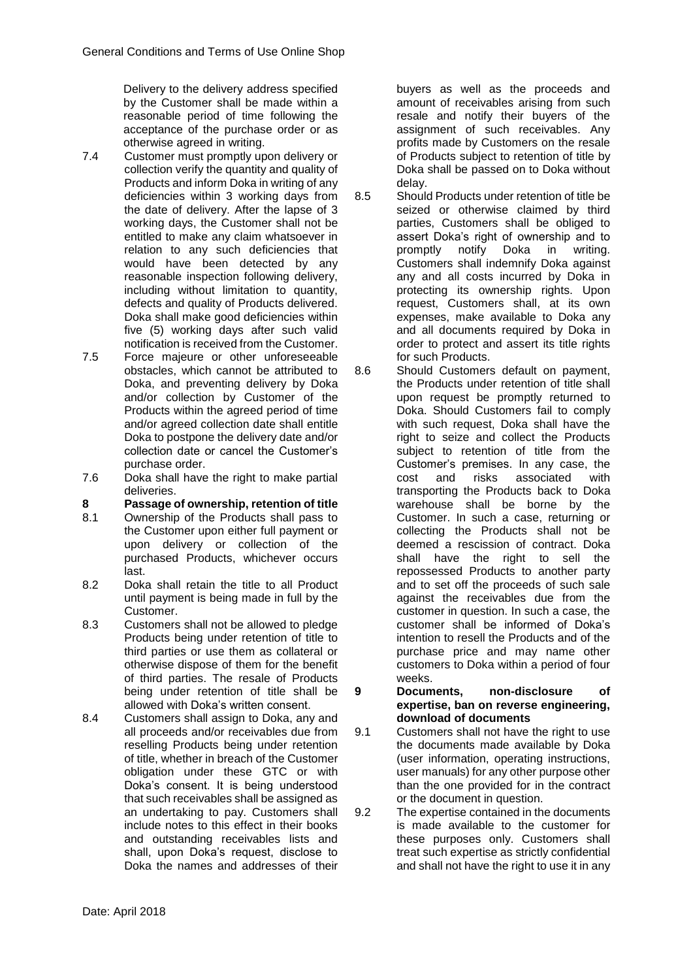Delivery to the delivery address specified by the Customer shall be made within a reasonable period of time following the acceptance of the purchase order or as otherwise agreed in writing.

- 7.4 Customer must promptly upon delivery or collection verify the quantity and quality of Products and inform Doka in writing of any deficiencies within 3 working days from the date of delivery. After the lapse of 3 working days, the Customer shall not be entitled to make any claim whatsoever in relation to any such deficiencies that would have been detected by any reasonable inspection following delivery, including without limitation to quantity, defects and quality of Products delivered. Doka shall make good deficiencies within five (5) working days after such valid notification is received from the Customer.
- 7.5 Force majeure or other unforeseeable obstacles, which cannot be attributed to Doka, and preventing delivery by Doka and/or collection by Customer of the Products within the agreed period of time and/or agreed collection date shall entitle Doka to postpone the delivery date and/or collection date or cancel the Customer's purchase order.
- 7.6 Doka shall have the right to make partial deliveries.
- **8 Passage of ownership, retention of title**
- 8.1 Ownership of the Products shall pass to the Customer upon either full payment or upon delivery or collection of the purchased Products, whichever occurs last.
- 8.2 Doka shall retain the title to all Product until payment is being made in full by the Customer.
- 8.3 Customers shall not be allowed to pledge Products being under retention of title to third parties or use them as collateral or otherwise dispose of them for the benefit of third parties. The resale of Products being under retention of title shall be allowed with Doka's written consent.
- 8.4 Customers shall assign to Doka, any and all proceeds and/or receivables due from reselling Products being under retention of title, whether in breach of the Customer obligation under these GTC or with Doka's consent. It is being understood that such receivables shall be assigned as an undertaking to pay. Customers shall include notes to this effect in their books and outstanding receivables lists and shall, upon Doka's request, disclose to Doka the names and addresses of their

buyers as well as the proceeds and amount of receivables arising from such resale and notify their buyers of the assignment of such receivables. Any profits made by Customers on the resale of Products subject to retention of title by Doka shall be passed on to Doka without delay.

- 8.5 Should Products under retention of title be seized or otherwise claimed by third parties, Customers shall be obliged to assert Doka's right of ownership and to<br>promptly notify Doka in writing. promptly notify Doka in Customers shall indemnify Doka against any and all costs incurred by Doka in protecting its ownership rights. Upon request, Customers shall, at its own expenses, make available to Doka any and all documents required by Doka in order to protect and assert its title rights for such Products.
- 8.6 Should Customers default on payment, the Products under retention of title shall upon request be promptly returned to Doka. Should Customers fail to comply with such request, Doka shall have the right to seize and collect the Products subject to retention of title from the Customer's premises. In any case, the cost and risks associated with transporting the Products back to Doka warehouse shall be borne by the Customer. In such a case, returning or collecting the Products shall not be deemed a rescission of contract. Doka shall have the right to sell the repossessed Products to another party and to set off the proceeds of such sale against the receivables due from the customer in question. In such a case, the customer shall be informed of Doka's intention to resell the Products and of the purchase price and may name other customers to Doka within a period of four weeks.
- **9 Documents, non-disclosure of expertise, ban on reverse engineering, download of documents**
- 9.1 Customers shall not have the right to use the documents made available by Doka (user information, operating instructions, user manuals) for any other purpose other than the one provided for in the contract or the document in question.
- 9.2 The expertise contained in the documents is made available to the customer for these purposes only. Customers shall treat such expertise as strictly confidential and shall not have the right to use it in any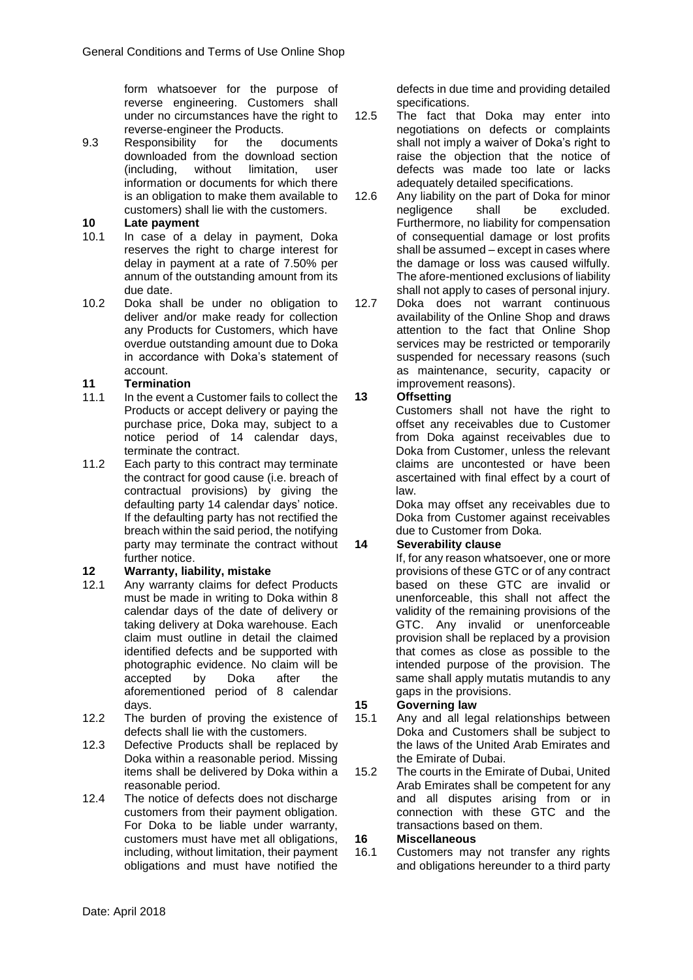form whatsoever for the purpose of reverse engineering. Customers shall under no circumstances have the right to reverse-engineer the Products.

9.3 Responsibility for the documents downloaded from the download section (including, without limitation, user information or documents for which there is an obligation to make them available to customers) shall lie with the customers.

## **10 Late payment**

- 10.1 In case of a delay in payment, Doka reserves the right to charge interest for delay in payment at a rate of 7.50% per annum of the outstanding amount from its due date.
- 10.2 Doka shall be under no obligation to deliver and/or make ready for collection any Products for Customers, which have overdue outstanding amount due to Doka in accordance with Doka's statement of account.

### **11 Termination**

- 11.1 In the event a Customer fails to collect the Products or accept delivery or paying the purchase price, Doka may, subject to a notice period of 14 calendar days, terminate the contract.
- 11.2 Each party to this contract may terminate the contract for good cause (i.e. breach of contractual provisions) by giving the defaulting party 14 calendar days' notice. If the defaulting party has not rectified the breach within the said period, the notifying party may terminate the contract without further notice.

### **12 Warranty, liability, mistake**

- 12.1 Any warranty claims for defect Products must be made in writing to Doka within 8 calendar days of the date of delivery or taking delivery at Doka warehouse. Each claim must outline in detail the claimed identified defects and be supported with photographic evidence. No claim will be accepted by Doka after the aforementioned period of 8 calendar days.
- 12.2 The burden of proving the existence of defects shall lie with the customers.
- 12.3 Defective Products shall be replaced by Doka within a reasonable period. Missing items shall be delivered by Doka within a reasonable period.
- 12.4 The notice of defects does not discharge customers from their payment obligation. For Doka to be liable under warranty, customers must have met all obligations, including, without limitation, their payment obligations and must have notified the

defects in due time and providing detailed specifications.

- 12.5 The fact that Doka may enter into negotiations on defects or complaints shall not imply a waiver of Doka's right to raise the objection that the notice of defects was made too late or lacks adequately detailed specifications.
- 12.6 Any liability on the part of Doka for minor<br>
negligence shall be excluded. negligence shall be excluded. Furthermore, no liability for compensation of consequential damage or lost profits shall be assumed – except in cases where the damage or loss was caused wilfully. The afore-mentioned exclusions of liability shall not apply to cases of personal injury.

12.7 Doka does not warrant continuous availability of the Online Shop and draws attention to the fact that Online Shop services may be restricted or temporarily suspended for necessary reasons (such as maintenance, security, capacity or improvement reasons).

## **13 Offsetting**

Customers shall not have the right to offset any receivables due to Customer from Doka against receivables due to Doka from Customer, unless the relevant claims are uncontested or have been ascertained with final effect by a court of law.

Doka may offset any receivables due to Doka from Customer against receivables due to Customer from Doka.

# **14 Severability clause**

If, for any reason whatsoever, one or more provisions of these GTC or of any contract based on these GTC are invalid or unenforceable, this shall not affect the validity of the remaining provisions of the GTC. Any invalid or unenforceable provision shall be replaced by a provision that comes as close as possible to the intended purpose of the provision. The same shall apply mutatis mutandis to any gaps in the provisions.

## **15 Governing law**

- 15.1 Any and all legal relationships between Doka and Customers shall be subject to the laws of the United Arab Emirates and the Emirate of Dubai.
- 15.2 The courts in the Emirate of Dubai, United Arab Emirates shall be competent for any and all disputes arising from or in connection with these GTC and the transactions based on them.

### **16 Miscellaneous**

16.1 Customers may not transfer any rights and obligations hereunder to a third party